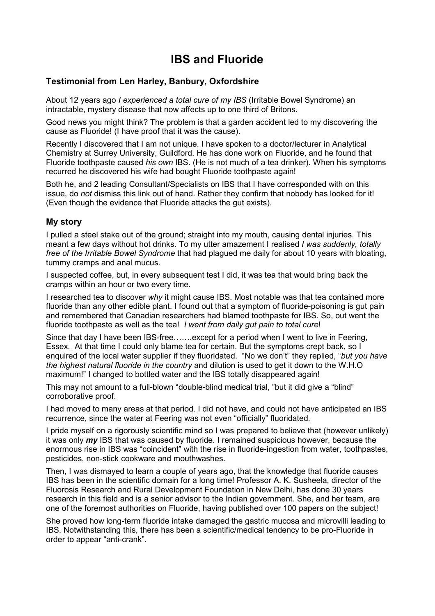# **IBS and Fluoride**

### **Testimonial from Len Harley, Banbury, Oxfordshire**

About 12 years ago *I experienced a total cure of my IBS* (Irritable Bowel Syndrome) an intractable, mystery disease that now affects up to one third of Britons.

Good news you might think? The problem is that a garden accident led to my discovering the cause as Fluoride! (I have proof that it was the cause).

Recently I discovered that I am not unique. I have spoken to a doctor/lecturer in Analytical Chemistry at Surrey University, Guildford. He has done work on Fluoride, and he found that Fluoride toothpaste caused *his own* IBS. (He is not much of a tea drinker). When his symptoms recurred he discovered his wife had bought Fluoride toothpaste again!

Both he, and 2 leading Consultant/Specialists on IBS that I have corresponded with on this issue, do *not* dismiss this link out of hand. Rather they confirm that nobody has looked for it! (Even though the evidence that Fluoride attacks the gut exists).

#### **My story**

I pulled a steel stake out of the ground; straight into my mouth, causing dental injuries. This meant a few days without hot drinks. To my utter amazement I realised *I was suddenly, totally free of the Irritable Bowel Syndrome* that had plagued me daily for about 10 years with bloating, tummy cramps and anal mucus.

I suspected coffee, but, in every subsequent test I did, it was tea that would bring back the cramps within an hour or two every time.

I researched tea to discover *why* it might cause IBS. Most notable was that tea contained more fluoride than any other edible plant. I found out that a symptom of fluoride-poisoning is gut pain and remembered that Canadian researchers had blamed toothpaste for IBS. So, out went the fluoride toothpaste as well as the tea! *I went from daily gut pain to total cure*!

Since that day I have been IBS-free…….except for a period when I went to live in Feering, Essex. At that time I could only blame tea for certain. But the symptoms crept back, so I enquired of the local water supplier if they fluoridated. "No we don't" they replied, "*but you have the highest natural fluoride in the country* and dilution is used to get it down to the W.H.O maximum!" I changed to bottled water and the IBS totally disappeared again!

This may not amount to a full-blown "double-blind medical trial, "but it did give a "blind" corroborative proof.

I had moved to many areas at that period. I did not have, and could not have anticipated an IBS recurrence, since the water at Feering was not even "officially" fluoridated.

I pride myself on a rigorously scientific mind so I was prepared to believe that (however unlikely) it was only *my* IBS that was caused by fluoride. I remained suspicious however, because the enormous rise in IBS was "coincident" with the rise in fluoride-ingestion from water, toothpastes, pesticides, non-stick cookware and mouthwashes.

Then, I was dismayed to learn a couple of years ago, that the knowledge that fluoride causes IBS has been in the scientific domain for a long time! Professor A. K. Susheela, director of the Fluorosis Research and Rural Development Foundation in New Delhi, has done 30 years research in this field and is a senior advisor to the Indian government. She, and her team, are one of the foremost authorities on Fluoride, having published over 100 papers on the subject!

She proved how long-term fluoride intake damaged the gastric mucosa and microvilli leading to IBS. Notwithstanding this, there has been a scientific/medical tendency to be pro-Fluoride in order to appear "anti-crank".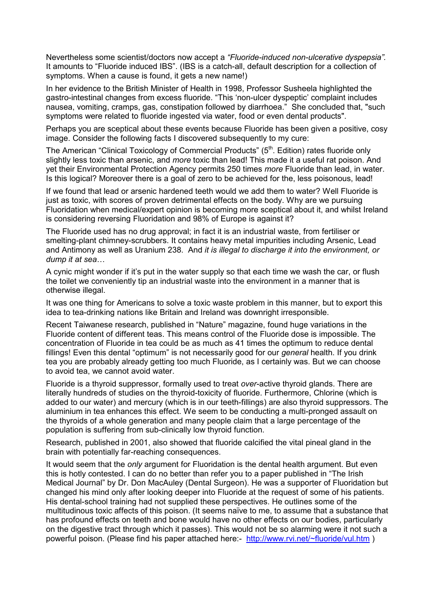Nevertheless some scientist/doctors now accept a *"Fluoride-induced non-ulcerative dyspepsia".*  It amounts to "Fluoride induced IBS". (IBS is a catch-all, default description for a collection of symptoms. When a cause is found, it gets a new name!)

In her evidence to the British Minister of Health in 1998, Professor Susheela highlighted the gastro-intestinal changes from excess fluoride. "This 'non-ulcer dyspeptic' complaint includes nausea, vomiting, cramps, gas, constipation followed by diarrhoea." She concluded that, "such symptoms were related to fluoride ingested via water, food or even dental products".

Perhaps you are sceptical about these events because Fluoride has been given a positive, cosy image. Consider the following facts I discovered subsequently to my cure:

The American "Clinical Toxicology of Commercial Products" (5<sup>th</sup>. Edition) rates fluoride only slightly less toxic than arsenic, and *more* toxic than lead! This made it a useful rat poison. And yet their Environmental Protection Agency permits 250 times *more* Fluoride than lead, in water. Is this logical? Moreover there is a goal of zero to be achieved for the, less poisonous, lead!

If we found that lead or arsenic hardened teeth would we add them to water? Well Fluoride is just as toxic, with scores of proven detrimental effects on the body. Why are we pursuing Fluoridation when medical/expert opinion is becoming more sceptical about it, and whilst Ireland is considering reversing Fluoridation and 98% of Europe is against it?

The Fluoride used has no drug approval; in fact it is an industrial waste, from fertiliser or smelting-plant chimney-scrubbers. It contains heavy metal impurities including Arsenic, Lead and Antimony as well as Uranium 238. And *it is illegal to discharge it into the environment, or dump it at sea*…

A cynic might wonder if it's put in the water supply so that each time we wash the car, or flush the toilet we conveniently tip an industrial waste into the environment in a manner that is otherwise illegal.

It was one thing for Americans to solve a toxic waste problem in this manner, but to export this idea to tea-drinking nations like Britain and Ireland was downright irresponsible.

Recent Taiwanese research, published in "Nature" magazine, found huge variations in the Fluoride content of different teas. This means control of the Fluoride dose is impossible. The concentration of Fluoride in tea could be as much as 41 times the optimum to reduce dental fillings! Even this dental "optimum" is not necessarily good for our *general* health. If you drink tea you are probably already getting too much Fluoride, as I certainly was. But we can choose to avoid tea, we cannot avoid water.

Fluoride is a thyroid suppressor, formally used to treat *over*-active thyroid glands. There are literally hundreds of studies on the thyroid-toxicity of fluoride. Furthermore, Chlorine (which is added to our water) and mercury (which is in our teeth-fillings) are also thyroid suppressors. The aluminium in tea enhances this effect. We seem to be conducting a multi-pronged assault on the thyroids of a whole generation and many people claim that a large percentage of the population is suffering from sub-clinically low thyroid function.

Research, published in 2001, also showed that fluoride calcified the vital pineal gland in the brain with potentially far-reaching consequences.

It would seem that the *only* argument for Fluoridation is the dental health argument. But even this is hotly contested. I can do no better than refer you to a paper published in "The Irish Medical Journal" by Dr. Don MacAuley (Dental Surgeon). He was a supporter of Fluoridation but changed his mind only after looking deeper into Fluoride at the request of some of his patients. His dental-school training had not supplied these perspectives. He outlines some of the multitudinous toxic affects of this poison. (It seems naïve to me, to assume that a substance that has profound effects on teeth and bone would have no other effects on our bodies, particularly on the digestive tract through which it passes). This would not be so alarming were it not such a powerful poison. (Please find his paper attached here:- <http://www.rvi.net/~fluoride/vul.htm> )